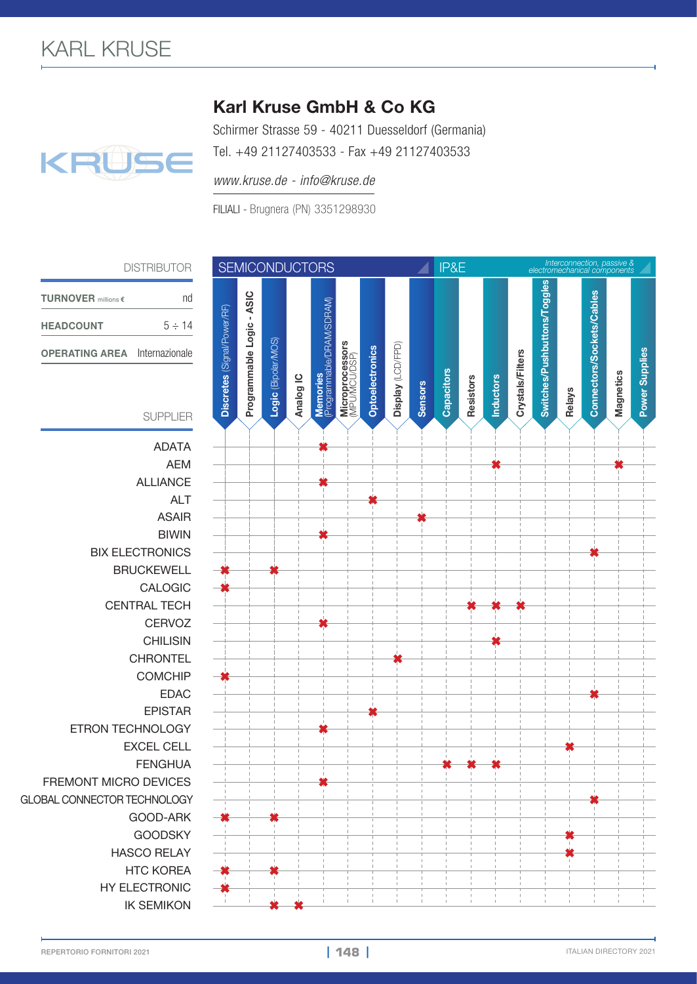## KRUSE

## Karl Kruse GmbH & Co KG

Schirmer Strasse 59 - 40211 Duesseldorf (Germania) Tel. +49 21127403533 - Fax +49 21127403533

*www.kruse.de - info@kruse.de*

FILIALI - Brugnera (PN) 3351298930